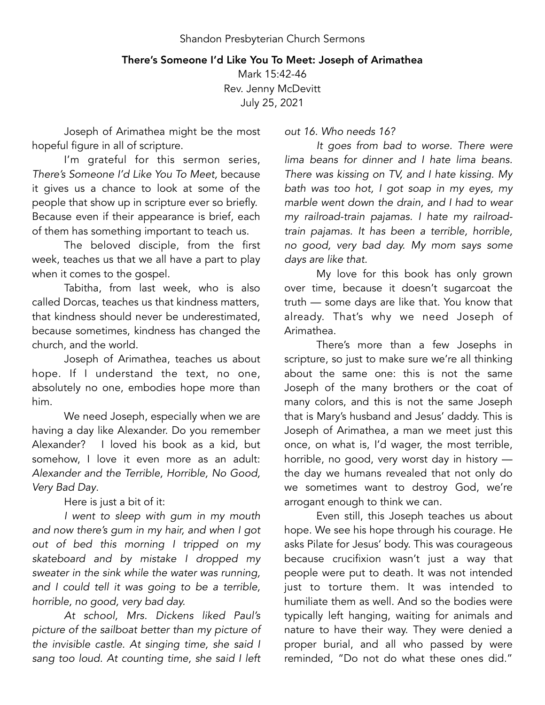## There's Someone I'd Like You To Meet: Joseph of Arimathea

Mark 15:42-46 Rev. Jenny McDevitt July 25, 2021

Joseph of Arimathea might be the most hopeful figure in all of scripture.

I'm grateful for this sermon series, *There's Someone I'd Like You To Meet,* because it gives us a chance to look at some of the people that show up in scripture ever so briefly. Because even if their appearance is brief, each of them has something important to teach us.

The beloved disciple, from the first week, teaches us that we all have a part to play when it comes to the gospel.

Tabitha, from last week, who is also called Dorcas, teaches us that kindness matters, that kindness should never be underestimated, because sometimes, kindness has changed the church, and the world.

Joseph of Arimathea, teaches us about hope. If I understand the text, no one, absolutely no one, embodies hope more than him.

We need Joseph, especially when we are having a day like Alexander. Do you remember Alexander? I loved his book as a kid, but somehow, I love it even more as an adult: *Alexander and the Terrible, Horrible, No Good, Very Bad Day*.

Here is just a bit of it:

*I went to sleep with gum in my mouth and now there's gum in my hair, and when I got out of bed this morning I tripped on my skateboard and by mistake I dropped my sweater in the sink while the water was running, and I could tell it was going to be a terrible, horrible, no good, very bad day.* 

*At school, Mrs. Dickens liked Paul's picture of the sailboat better than my picture of the invisible castle. At singing time, she said I sang too loud. At counting time, she said I left*  *out 16. Who needs 16?*

*It goes from bad to worse. There were lima beans for dinner and I hate lima beans. There was kissing on TV, and I hate kissing. My bath was too hot, I got soap in my eyes, my marble went down the drain, and I had to wear my railroad-train pajamas. I hate my railroadtrain pajamas. It has been a terrible, horrible, no good, very bad day. My mom says some days are like that.* 

My love for this book has only grown over time, because it doesn't sugarcoat the truth — some days are like that. You know that already. That's why we need Joseph of Arimathea.

There's more than a few Josephs in scripture, so just to make sure we're all thinking about the same one: this is not the same Joseph of the many brothers or the coat of many colors, and this is not the same Joseph that is Mary's husband and Jesus' daddy. This is Joseph of Arimathea, a man we meet just this once, on what is, I'd wager, the most terrible, horrible, no good, very worst day in history the day we humans revealed that not only do we sometimes want to destroy God, we're arrogant enough to think we can.

Even still, this Joseph teaches us about hope. We see his hope through his courage. He asks Pilate for Jesus' body. This was courageous because crucifixion wasn't just a way that people were put to death. It was not intended just to torture them. It was intended to humiliate them as well. And so the bodies were typically left hanging, waiting for animals and nature to have their way. They were denied a proper burial, and all who passed by were reminded, "Do not do what these ones did."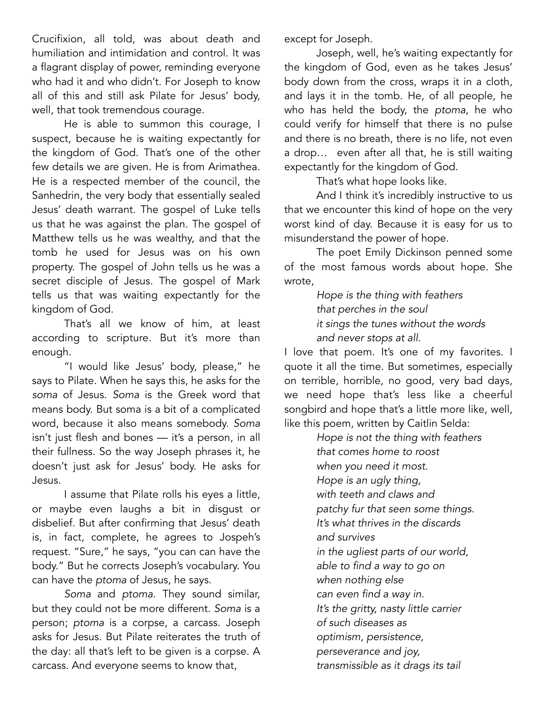Crucifixion, all told, was about death and humiliation and intimidation and control. It was a flagrant display of power, reminding everyone who had it and who didn't. For Joseph to know all of this and still ask Pilate for Jesus' body, well, that took tremendous courage.

He is able to summon this courage, I suspect, because he is waiting expectantly for the kingdom of God. That's one of the other few details we are given. He is from Arimathea. He is a respected member of the council, the Sanhedrin, the very body that essentially sealed Jesus' death warrant. The gospel of Luke tells us that he was against the plan. The gospel of Matthew tells us he was wealthy, and that the tomb he used for Jesus was on his own property. The gospel of John tells us he was a secret disciple of Jesus. The gospel of Mark tells us that was waiting expectantly for the kingdom of God.

That's all we know of him, at least according to scripture. But it's more than enough.

"I would like Jesus' body, please," he says to Pilate. When he says this, he asks for the *soma* of Jesus. *Soma* is the Greek word that means body. But soma is a bit of a complicated word, because it also means somebody. *Soma* isn't just flesh and bones — it's a person, in all their fullness. So the way Joseph phrases it, he doesn't just ask for Jesus' body. He asks for Jesus.

I assume that Pilate rolls his eyes a little, or maybe even laughs a bit in disgust or disbelief. But after confirming that Jesus' death is, in fact, complete, he agrees to Jospeh's request. "Sure," he says, "you can can have the body." But he corrects Joseph's vocabulary. You can have the *ptoma* of Jesus, he says.

*Soma* and *ptoma*. They sound similar, but they could not be more different. *Soma* is a person; *ptoma* is a corpse, a carcass. Joseph asks for Jesus. But Pilate reiterates the truth of the day: all that's left to be given is a corpse. A carcass. And everyone seems to know that,

except for Joseph.

Joseph, well, he's waiting expectantly for the kingdom of God, even as he takes Jesus' body down from the cross, wraps it in a cloth, and lays it in the tomb. He, of all people, he who has held the body, the *ptoma*, he who could verify for himself that there is no pulse and there is no breath, there is no life, not even a drop… even after all that, he is still waiting expectantly for the kingdom of God.

That's what hope looks like.

And I think it's incredibly instructive to us that we encounter this kind of hope on the very worst kind of day. Because it is easy for us to misunderstand the power of hope.

The poet Emily Dickinson penned some of the most famous words about hope. She wrote,

> *Hope is the thing with feathers that perches in the soul it sings the tunes without the words and never stops at all.*

I love that poem. It's one of my favorites. I quote it all the time. But sometimes, especially on terrible, horrible, no good, very bad days, we need hope that's less like a cheerful songbird and hope that's a little more like, well, like this poem, written by Caitlin Selda:

> *Hope is not the thing with feathers that comes home to roost when you need it most. Hope is an ugly thing, with teeth and claws and patchy fur that seen some things. It's what thrives in the discards and survives in the ugliest parts of our world, able to find a way to go on when nothing else can even find a way in. It's the gritty, nasty little carrier of such diseases as optimism, persistence, perseverance and joy, transmissible as it drags its tail*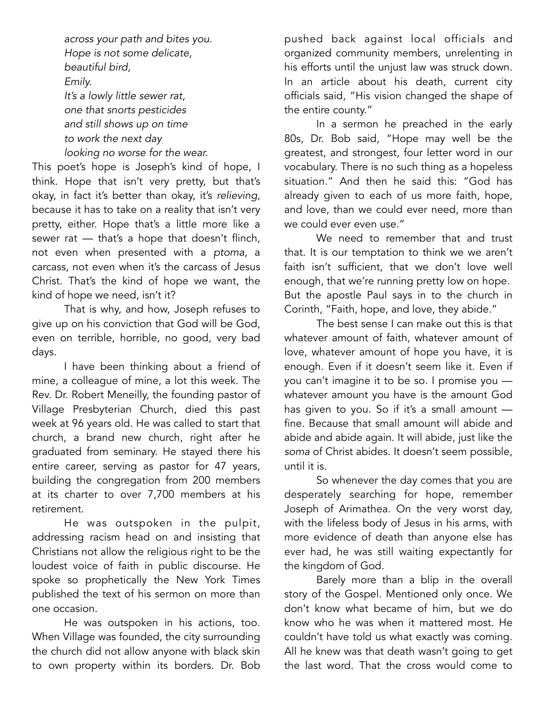*across your path and bites you. Hope is not some delicate, beautiful bird, Emily. It's a lowly little sewer rat, one that snorts pesticides and still shows up on time to work the next day looking no worse for the wear.* 

This poet's hope is Joseph's kind of hope, I think. Hope that isn't very pretty, but that's okay, in fact it's better than okay, it's *relieving*, because it has to take on a reality that isn't very pretty, either. Hope that's a little more like a sewer rat — that's a hope that doesn't flinch, not even when presented with a *ptoma*, a carcass, not even when it's the carcass of Jesus Christ. That's the kind of hope we want, the kind of hope we need, isn't it?

That is why, and how, Joseph refuses to give up on his conviction that God will be God, even on terrible, horrible, no good, very bad days.

I have been thinking about a friend of mine, a colleague of mine, a lot this week. The Rev. Dr. Robert Meneilly, the founding pastor of Village Presbyterian Church, died this past week at 96 years old. He was called to start that church, a brand new church, right after he graduated from seminary. He stayed there his entire career, serving as pastor for 47 years, building the congregation from 200 members at its charter to over 7,700 members at his retirement.

He was outspoken in the pulpit, addressing racism head on and insisting that Christians not allow the religious right to be the loudest voice of faith in public discourse. He spoke so prophetically the New York Times published the text of his sermon on more than one occasion.

He was outspoken in his actions, too. When Village was founded, the city surrounding the church did not allow anyone with black skin to own property within its borders. Dr. Bob pushed back against local officials and organized community members, unrelenting in his efforts until the unjust law was struck down. In an article about his death, current city officials said, "His vision changed the shape of the entire county."

In a sermon he preached in the early 80s, Dr. Bob said, "Hope may well be the greatest, and strongest, four letter word in our vocabulary. There is no such thing as a hopeless situation." And then he said this: "God has already given to each of us more faith, hope, and love, than we could ever need, more than we could ever even use."

We need to remember that and trust that. It is our temptation to think we we aren't faith isn't sufficient, that we don't love well enough, that we're running pretty low on hope. But the apostle Paul says in to the church in Corinth, "Faith, hope, and love, they abide."

The best sense I can make out this is that whatever amount of faith, whatever amount of love, whatever amount of hope you have, it is enough. Even if it doesn't seem like it. Even if you can't imagine it to be so. I promise you whatever amount you have is the amount God has given to you. So if it's a small amount fine. Because that small amount will abide and abide and abide again. It will abide, just like the *soma* of Christ abides. It doesn't seem possible, until it is.

So whenever the day comes that you are desperately searching for hope, remember Joseph of Arimathea. On the very worst day, with the lifeless body of Jesus in his arms, with more evidence of death than anyone else has ever had, he was still waiting expectantly for the kingdom of God.

Barely more than a blip in the overall story of the Gospel. Mentioned only once. We don't know what became of him, but we do know who he was when it mattered most. He couldn't have told us what exactly was coming. All he knew was that death wasn't going to get the last word. That the cross would come to